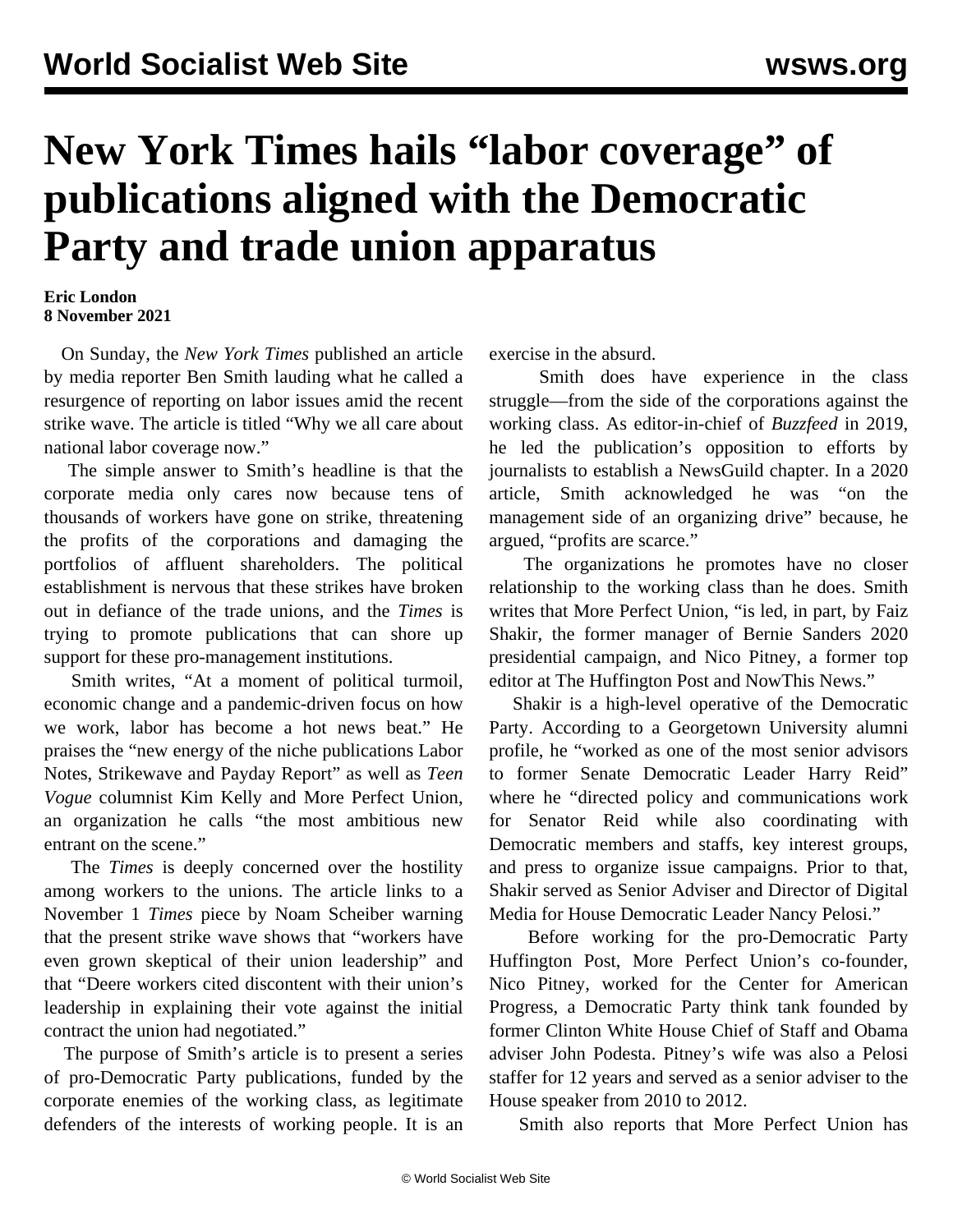## **New York Times hails "labor coverage" of publications aligned with the Democratic Party and trade union apparatus**

## **Eric London 8 November 2021**

 On Sunday, the *New York Times* published an article by media reporter Ben Smith lauding what he called a resurgence of reporting on labor issues amid the recent strike wave. The article is titled "Why we all care about national labor coverage now."

 The simple answer to Smith's headline is that the corporate media only cares now because tens of thousands of workers have gone on strike, threatening the profits of the corporations and damaging the portfolios of affluent shareholders. The political establishment is nervous that these strikes have broken out in defiance of the trade unions, and the *Times* is trying to promote publications that can shore up support for these pro-management institutions.

 Smith writes, "At a moment of political turmoil, economic change and a pandemic-driven focus on how we work, labor has become a hot news beat." He praises the "new energy of the niche publications Labor Notes, Strikewave and Payday Report" as well as *Teen Vogue* columnist Kim Kelly and More Perfect Union, an organization he calls "the most ambitious new entrant on the scene."

 The *Times* is deeply concerned over the hostility among workers to the unions. The article links to a November 1 *Times* piece by Noam Scheiber warning that the present strike wave shows that "workers have even grown skeptical of their union leadership" and that "Deere workers cited discontent with their union's leadership in explaining their vote against the initial contract the union had negotiated."

 The purpose of Smith's article is to present a series of pro-Democratic Party publications, funded by the corporate enemies of the working class, as legitimate defenders of the interests of working people. It is an exercise in the absurd.

 Smith does have experience in the class struggle—from the side of the corporations against the working class. As editor-in-chief of *Buzzfeed* in 2019, he led the publication's opposition to efforts by journalists to establish a NewsGuild chapter. In a 2020 article, Smith acknowledged he was "on the management side of an organizing drive" because, he argued, "profits are scarce."

 The organizations he promotes have no closer relationship to the working class than he does. Smith writes that More Perfect Union, "is led, in part, by Faiz Shakir, the former manager of Bernie Sanders 2020 presidential campaign, and Nico Pitney, a former top editor at The Huffington Post and NowThis News."

 Shakir is a high-level operative of the Democratic Party. According to a Georgetown University alumni profile, he "worked as one of the most senior advisors to former Senate Democratic Leader Harry Reid" where he "directed policy and communications work for Senator Reid while also coordinating with Democratic members and staffs, key interest groups, and press to organize issue campaigns. Prior to that, Shakir served as Senior Adviser and Director of Digital Media for House Democratic Leader Nancy Pelosi."

 Before working for the pro-Democratic Party Huffington Post, More Perfect Union's co-founder, Nico Pitney, worked for the Center for American Progress, a Democratic Party think tank founded by former Clinton White House Chief of Staff and Obama adviser John Podesta. Pitney's wife was also a Pelosi staffer for 12 years and served as a senior adviser to the House speaker from 2010 to 2012.

Smith also reports that More Perfect Union has